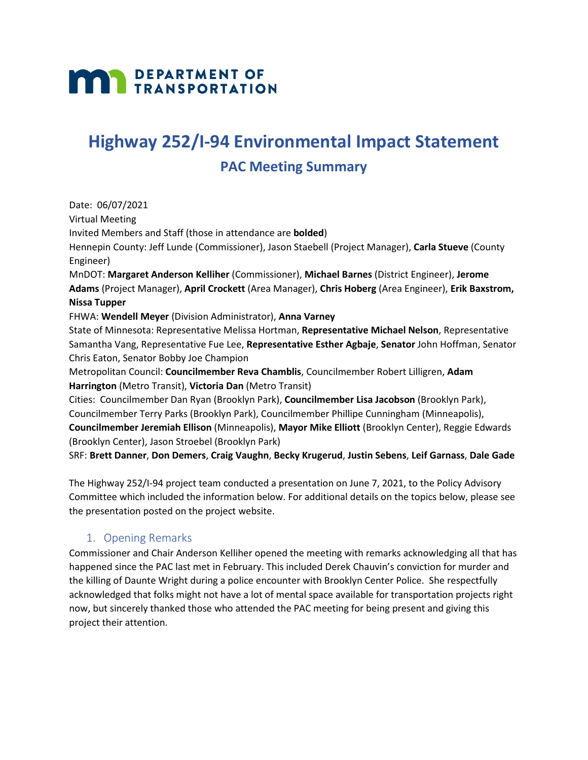# **MAN DEPARTMENT OF TRANSPORTATION**

# **Highway 252/I-94 Environmental Impact Statement**

# **PAC Meeting Summary**

Date: 06/07/2021 Virtual Meeting Invited Members and Staff (those in attendance are **bolded**) Hennepin County: Jeff Lunde (Commissioner), Jason Staebell (Project Manager), **Carla Stueve** (County Engineer) MnDOT: **Margaret Anderson Kelliher** (Commissioner), **Michael Barnes** (District Engineer), **Jerome Adams** (Project Manager), **April Crockett** (Area Manager), **Chris Hoberg** (Area Engineer), **Erik Baxstrom, Nissa Tupper** FHWA: **Wendell Meyer** (Division Administrator), **Anna Varney** State of Minnesota: Representative Melissa Hortman, **Representative Michael Nelson**, Representative Samantha Vang, Representative Fue Lee, **Representative Esther Agbaje**, **Senator** John Hoffman, Senator Chris Eaton, Senator Bobby Joe Champion Metropolitan Council: **Councilmember Reva Chamblis**, Councilmember Robert Lilligren, **Adam Harrington** (Metro Transit), **Victoria Dan** (Metro Transit) Cities: Councilmember Dan Ryan (Brooklyn Park), **Councilmember Lisa Jacobson** (Brooklyn Park), Councilmember Terry Parks (Brooklyn Park), Councilmember Phillipe Cunningham (Minneapolis), **Councilmember Jeremiah Ellison** (Minneapolis), **Mayor Mike Elliott** (Brooklyn Center), Reggie Edwards (Brooklyn Center), Jason Stroebel (Brooklyn Park) SRF: **Brett Danner**, **Don Demers**, **Craig Vaughn**, **Becky Krugerud**, **Justin Sebens**, **Leif Garnass**, **Dale Gade**

The Highway 252/I-94 project team conducted a presentation on June 7, 2021, to the Policy Advisory Committee which included the information below. For additional details on the topics below, please see the presentation posted on the project website.

# 1. Opening Remarks

Commissioner and Chair Anderson Kelliher opened the meeting with remarks acknowledging all that has happened since the PAC last met in February. This included Derek Chauvin's conviction for murder and the killing of Daunte Wright during a police encounter with Brooklyn Center Police. She respectfully acknowledged that folks might not have a lot of mental space available for transportation projects right now, but sincerely thanked those who attended the PAC meeting for being present and giving this project their attention.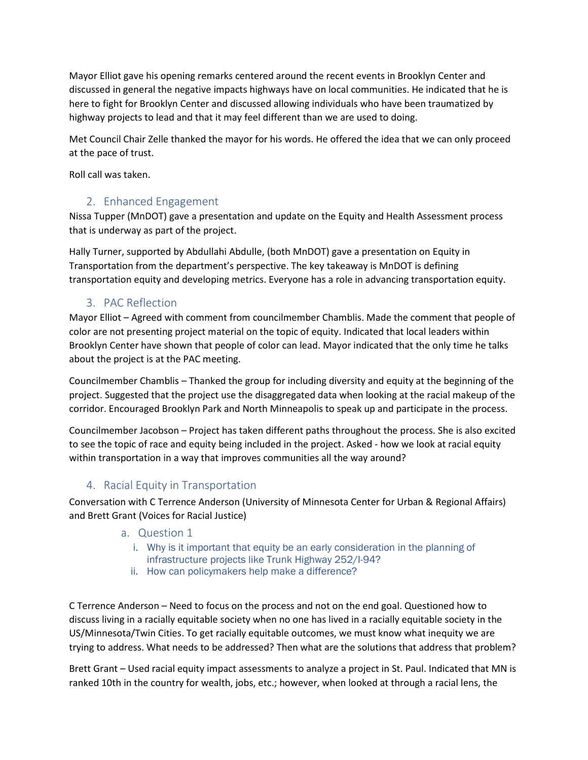Mayor Elliot gave his opening remarks centered around the recent events in Brooklyn Center and discussed in general the negative impacts highways have on local communities. He indicated that he is here to fight for Brooklyn Center and discussed allowing individuals who have been traumatized by highway projects to lead and that it may feel different than we are used to doing.

Met Council Chair Zelle thanked the mayor for his words. He offered the idea that we can only proceed at the pace of trust.

Roll call was taken.

### 2. Enhanced Engagement

Nissa Tupper (MnDOT) gave a presentation and update on the Equity and Health Assessment process that is underway as part of the project.

Hally Turner, supported by Abdullahi Abdulle, (both MnDOT) gave a presentation on Equity in Transportation from the department's perspective. The key takeaway is MnDOT is defining transportation equity and developing metrics. Everyone has a role in advancing transportation equity.

### 3. PAC Reflection

Mayor Elliot – Agreed with comment from councilmember Chamblis. Made the comment that people of color are not presenting project material on the topic of equity. Indicated that local leaders within Brooklyn Center have shown that people of color can lead. Mayor indicated that the only time he talks about the project is at the PAC meeting.

Councilmember Chamblis – Thanked the group for including diversity and equity at the beginning of the project. Suggested that the project use the disaggregated data when looking at the racial makeup of the corridor. Encouraged Brooklyn Park and North Minneapolis to speak up and participate in the process.

Councilmember Jacobson – Project has taken different paths throughout the process. She is also excited to see the topic of race and equity being included in the project. Asked - how we look at racial equity within transportation in a way that improves communities all the way around?

### 4. Racial Equity in Transportation

Conversation with C Terrence Anderson (University of Minnesota Center for Urban & Regional Affairs) and Brett Grant (Voices for Racial Justice)

#### a. Question 1

- i. Why is it important that equity be an early consideration in the planning of infrastructure projects like Trunk Highway 252/I-94?
- ii. How can policymakers help make a difference?

C Terrence Anderson – Need to focus on the process and not on the end goal. Questioned how to discuss living in a racially equitable society when no one has lived in a racially equitable society in the US/Minnesota/Twin Cities. To get racially equitable outcomes, we must know what inequity we are trying to address. What needs to be addressed? Then what are the solutions that address that problem?

Brett Grant – Used racial equity impact assessments to analyze a project in St. Paul. Indicated that MN is ranked 10th in the country for wealth, jobs, etc.; however, when looked at through a racial lens, the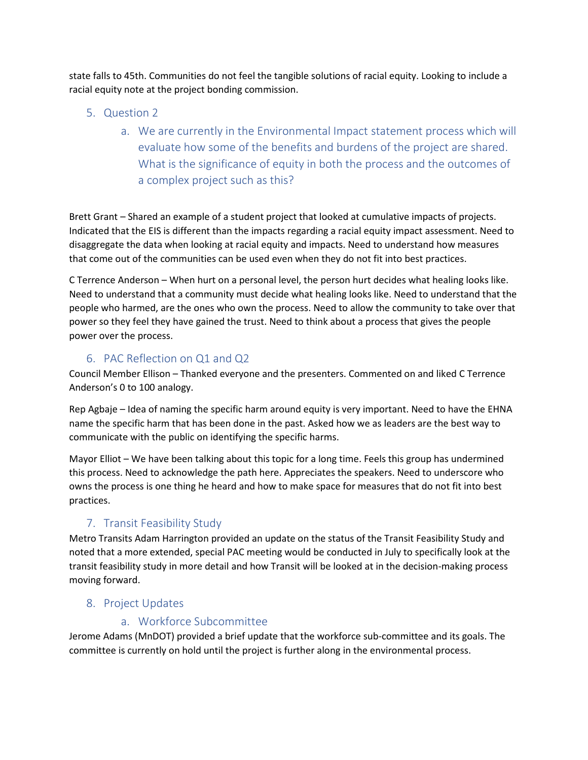state falls to 45th. Communities do not feel the tangible solutions of racial equity. Looking to include a racial equity note at the project bonding commission.

- 5. Question 2
	- a. We are currently in the Environmental Impact statement process which will evaluate how some of the benefits and burdens of the project are shared. What is the significance of equity in both the process and the outcomes of a complex project such as this?

Brett Grant – Shared an example of a student project that looked at cumulative impacts of projects. Indicated that the EIS is different than the impacts regarding a racial equity impact assessment. Need to disaggregate the data when looking at racial equity and impacts. Need to understand how measures that come out of the communities can be used even when they do not fit into best practices.

C Terrence Anderson – When hurt on a personal level, the person hurt decides what healing looks like. Need to understand that a community must decide what healing looks like. Need to understand that the people who harmed, are the ones who own the process. Need to allow the community to take over that power so they feel they have gained the trust. Need to think about a process that gives the people power over the process.

# 6. PAC Reflection on Q1 and Q2

Council Member Ellison – Thanked everyone and the presenters. Commented on and liked C Terrence Anderson's 0 to 100 analogy.

Rep Agbaje – Idea of naming the specific harm around equity is very important. Need to have the EHNA name the specific harm that has been done in the past. Asked how we as leaders are the best way to communicate with the public on identifying the specific harms.

Mayor Elliot – We have been talking about this topic for a long time. Feels this group has undermined this process. Need to acknowledge the path here. Appreciates the speakers. Need to underscore who owns the process is one thing he heard and how to make space for measures that do not fit into best practices.

# 7. Transit Feasibility Study

Metro Transits Adam Harrington provided an update on the status of the Transit Feasibility Study and noted that a more extended, special PAC meeting would be conducted in July to specifically look at the transit feasibility study in more detail and how Transit will be looked at in the decision-making process moving forward.

# 8. Project Updates

# a. Workforce Subcommittee

Jerome Adams (MnDOT) provided a brief update that the workforce sub-committee and its goals. The committee is currently on hold until the project is further along in the environmental process.